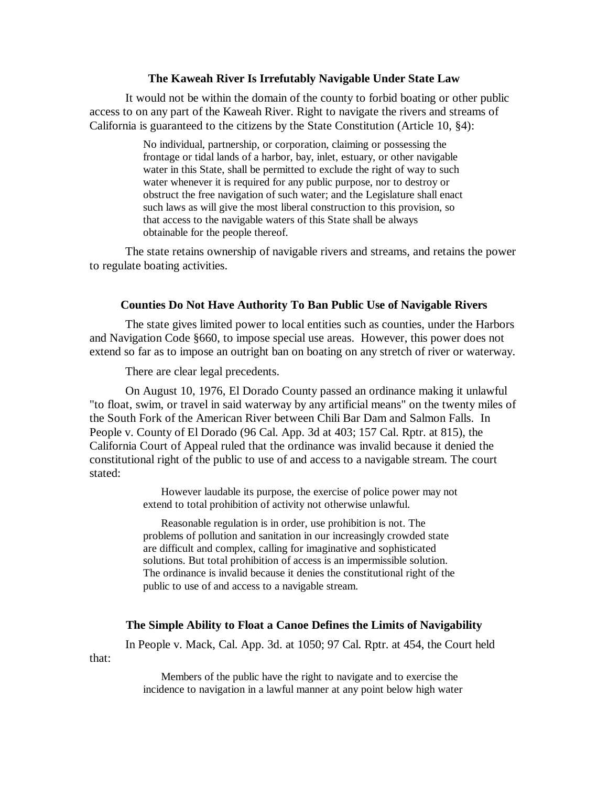## **The Kaweah River Is Irrefutably Navigable Under State Law**

It would not be within the domain of the county to forbid boating or other public access to on any part of the Kaweah River. Right to navigate the rivers and streams of California is guaranteed to the citizens by the State Constitution (Article 10, §4):

> No individual, partnership, or corporation, claiming or possessing the frontage or tidal lands of a harbor, bay, inlet, estuary, or other navigable water in this State, shall be permitted to exclude the right of way to such water whenever it is required for any public purpose, nor to destroy or obstruct the free navigation of such water; and the Legislature shall enact such laws as will give the most liberal construction to this provision, so that access to the navigable waters of this State shall be always obtainable for the people thereof.

The state retains ownership of navigable rivers and streams, and retains the power to regulate boating activities.

### **Counties Do Not Have Authority To Ban Public Use of Navigable Rivers**

The state gives limited power to local entities such as counties, under the Harbors and Navigation Code §660, to impose special use areas. However, this power does not extend so far as to impose an outright ban on boating on any stretch of river or waterway.

There are clear legal precedents.

On August 10, 1976, El Dorado County passed an ordinance making it unlawful "to float, swim, or travel in said waterway by any artificial means" on the twenty miles of the South Fork of the American River between Chili Bar Dam and Salmon Falls. In People v. County of El Dorado (96 Cal. App. 3d at 403; 157 Cal. Rptr. at 815), the California Court of Appeal ruled that the ordinance was invalid because it denied the constitutional right of the public to use of and access to a navigable stream. The court stated:

> However laudable its purpose, the exercise of police power may not extend to total prohibition of activity not otherwise unlawful.

> Reasonable regulation is in order, use prohibition is not. The problems of pollution and sanitation in our increasingly crowded state are difficult and complex, calling for imaginative and sophisticated solutions. But total prohibition of access is an impermissible solution. The ordinance is invalid because it denies the constitutional right of the public to use of and access to a navigable stream.

## **The Simple Ability to Float a Canoe Defines the Limits of Navigability**

In People v. Mack, Cal. App. 3d. at 1050; 97 Cal. Rptr. at 454, the Court held

that:

Members of the public have the right to navigate and to exercise the incidence to navigation in a lawful manner at any point below high water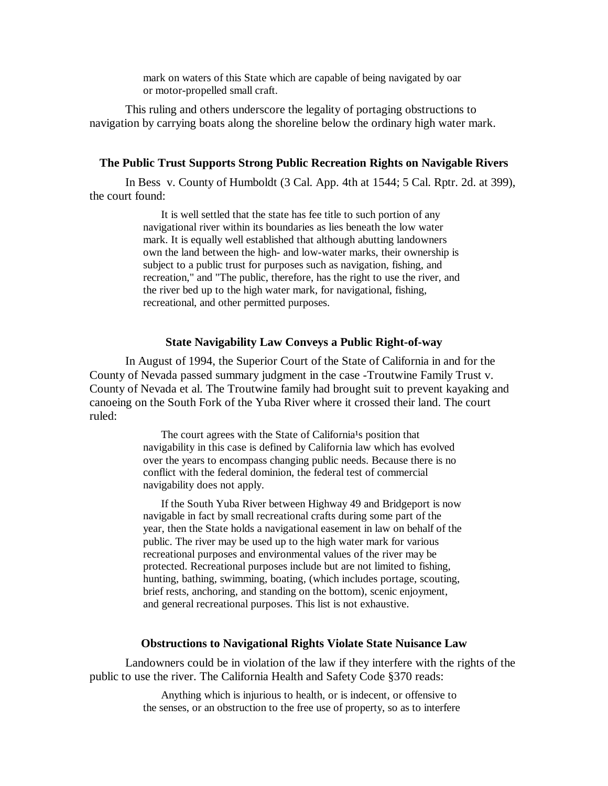mark on waters of this State which are capable of being navigated by oar or motor-propelled small craft.

This ruling and others underscore the legality of portaging obstructions to navigation by carrying boats along the shoreline below the ordinary high water mark.

## **The Public Trust Supports Strong Public Recreation Rights on Navigable Rivers**

In Bess v. County of Humboldt (3 Cal. App. 4th at 1544; 5 Cal. Rptr. 2d. at 399), the court found:

> It is well settled that the state has fee title to such portion of any navigational river within its boundaries as lies beneath the low water mark. It is equally well established that although abutting landowners own the land between the high- and low-water marks, their ownership is subject to a public trust for purposes such as navigation, fishing, and recreation," and "The public, therefore, has the right to use the river, and the river bed up to the high water mark, for navigational, fishing, recreational, and other permitted purposes.

#### **State Navigability Law Conveys a Public Right-of-way**

In August of 1994, the Superior Court of the State of California in and for the County of Nevada passed summary judgment in the case -Troutwine Family Trust v. County of Nevada et al. The Troutwine family had brought suit to prevent kayaking and canoeing on the South Fork of the Yuba River where it crossed their land. The court ruled:

> The court agrees with the State of California<sup>1</sup>s position that navigability in this case is defined by California law which has evolved over the years to encompass changing public needs. Because there is no conflict with the federal dominion, the federal test of commercial navigability does not apply.

If the South Yuba River between Highway 49 and Bridgeport is now navigable in fact by small recreational crafts during some part of the year, then the State holds a navigational easement in law on behalf of the public. The river may be used up to the high water mark for various recreational purposes and environmental values of the river may be protected. Recreational purposes include but are not limited to fishing, hunting, bathing, swimming, boating, (which includes portage, scouting, brief rests, anchoring, and standing on the bottom), scenic enjoyment, and general recreational purposes. This list is not exhaustive.

# **Obstructions to Navigational Rights Violate State Nuisance Law**

Landowners could be in violation of the law if they interfere with the rights of the public to use the river. The California Health and Safety Code §370 reads:

> Anything which is injurious to health, or is indecent, or offensive to the senses, or an obstruction to the free use of property, so as to interfere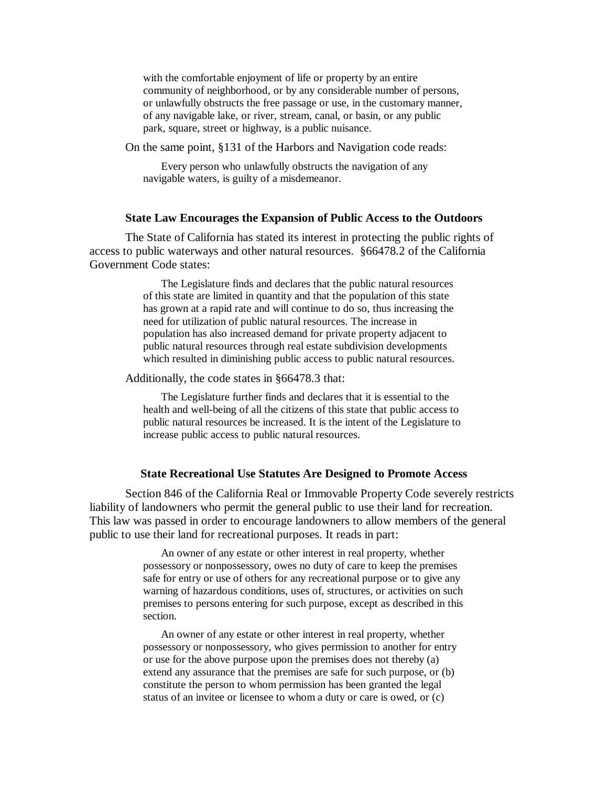with the comfortable enjoyment of life or property by an entire community of neighborhood, or by any considerable number of persons, or unlawfully obstructs the free passage or use, in the customary manner, of any navigable lake, or river, stream, canal, or basin, or any public park, square, street or highway, is a public nuisance.

On the same point, §131 of the Harbors and Navigation code reads:

Every person who unlawfully obstructs the navigation of any navigable waters, is guilty of a misdemeanor.

#### **State Law Encourages the Expansion of Public Access to the Outdoors**

The State of California has stated its interest in protecting the public rights of access to public waterways and other natural resources. §66478.2 of the California Government Code states:

> The Legislature finds and declares that the public natural resources of this state are limited in quantity and that the population of this state has grown at a rapid rate and will continue to do so, thus increasing the need for utilization of public natural resources. The increase in population has also increased demand for private property adjacent to public natural resources through real estate subdivision developments which resulted in diminishing public access to public natural resources.

Additionally, the code states in §66478.3 that:

The Legislature further finds and declares that it is essential to the health and well-being of all the citizens of this state that public access to public natural resources be increased. It is the intent of the Legislature to increase public access to public natural resources.

#### **State Recreational Use Statutes Are Designed to Promote Access**

Section 846 of the California Real or Immovable Property Code severely restricts liability of landowners who permit the general public to use their land for recreation. This law was passed in order to encourage landowners to allow members of the general public to use their land for recreational purposes. It reads in part:

> An owner of any estate or other interest in real property, whether possessory or nonpossessory, owes no duty of care to keep the premises safe for entry or use of others for any recreational purpose or to give any warning of hazardous conditions, uses of, structures, or activities on such premises to persons entering for such purpose, except as described in this section.

An owner of any estate or other interest in real property, whether possessory or nonpossessory, who gives permission to another for entry or use for the above purpose upon the premises does not thereby (a) extend any assurance that the premises are safe for such purpose, or (b) constitute the person to whom permission has been granted the legal status of an invitee or licensee to whom a duty or care is owed, or (c)